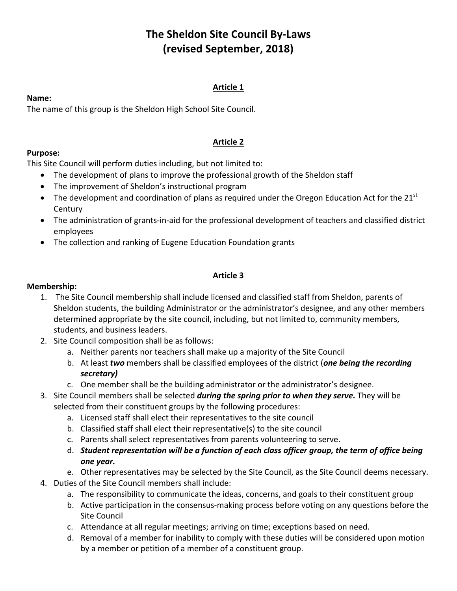# **The Sheldon Site Council By-Laws (revised September, 2018)**

## **Article 1**

#### **Name:**

The name of this group is the Sheldon High School Site Council.

#### **Article 2**

### **Purpose:**

This Site Council will perform duties including, but not limited to:

- The development of plans to improve the professional growth of the Sheldon staff
- The improvement of Sheldon's instructional program
- The development and coordination of plans as required under the Oregon Education Act for the 21<sup>st</sup> **Century**
- The administration of grants-in-aid for the professional development of teachers and classified district employees
- The collection and ranking of Eugene Education Foundation grants

# **Article 3**

#### **Membership:**

- 1. The Site Council membership shall include licensed and classified staff from Sheldon, parents of Sheldon students, the building Administrator or the administrator's designee, and any other members determined appropriate by the site council, including, but not limited to, community members, students, and business leaders.
- 2. Site Council composition shall be as follows:
	- a. Neither parents nor teachers shall make up a majority of the Site Council
	- b. At least *two* members shall be classified employees of the district (*one being the recording secretary)*
	- c. One member shall be the building administrator or the administrator's designee.
- 3. Site Council members shall be selected *during the spring prior to when they serve.* They will be selected from their constituent groups by the following procedures:
	- a. Licensed staff shall elect their representatives to the site council
	- b. Classified staff shall elect their representative(s) to the site council
	- c. Parents shall select representatives from parents volunteering to serve.
	- d. Student representation will be a function of each class officer group, the term of office being *one year.*
	- e. Other representatives may be selected by the Site Council, as the Site Council deems necessary.
- 4. Duties of the Site Council members shall include:
	- a. The responsibility to communicate the ideas, concerns, and goals to their constituent group
	- b. Active participation in the consensus-making process before voting on any questions before the Site Council
	- c. Attendance at all regular meetings; arriving on time; exceptions based on need.
	- d. Removal of a member for inability to comply with these duties will be considered upon motion by a member or petition of a member of a constituent group.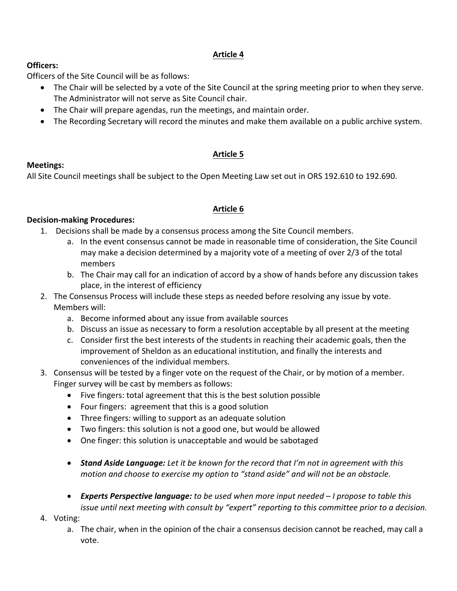# **Article 4**

### **Officers:**

Officers of the Site Council will be as follows:

- The Chair will be selected by a vote of the Site Council at the spring meeting prior to when they serve. The Administrator will not serve as Site Council chair.
- The Chair will prepare agendas, run the meetings, and maintain order.
- The Recording Secretary will record the minutes and make them available on a public archive system.

# **Article 5**

# **Meetings:**

All Site Council meetings shall be subject to the Open Meeting Law set out in ORS 192.610 to 192.690.

# **Article 6**

#### **Decision-making Procedures:**

- 1. Decisions shall be made by a consensus process among the Site Council members.
	- a. In the event consensus cannot be made in reasonable time of consideration, the Site Council may make a decision determined by a majority vote of a meeting of over 2/3 of the total members
	- b. The Chair may call for an indication of accord by a show of hands before any discussion takes place, in the interest of efficiency
- 2. The Consensus Process will include these steps as needed before resolving any issue by vote. Members will:
	- a. Become informed about any issue from available sources
	- b. Discuss an issue as necessary to form a resolution acceptable by all present at the meeting
	- c. Consider first the best interests of the students in reaching their academic goals, then the improvement of Sheldon as an educational institution, and finally the interests and conveniences of the individual members.
- 3. Consensus will be tested by a finger vote on the request of the Chair, or by motion of a member. Finger survey will be cast by members as follows:
	- Five fingers: total agreement that this is the best solution possible
	- Four fingers: agreement that this is a good solution
	- Three fingers: willing to support as an adequate solution
	- Two fingers: this solution is not a good one, but would be allowed
	- One finger: this solution is unacceptable and would be sabotaged
	- **Stand Aside Language:** Let it be known for the record that I'm not in agreement with this *motion* and choose to exercise my option to "stand aside" and will not be an obstacle.
	- **Experts Perspective language:** to be used when more input needed I propose to table this *issue until next meeting with consult by "expert" reporting to this committee prior to a decision.*
- 4. Voting:
	- a. The chair, when in the opinion of the chair a consensus decision cannot be reached, may call a vote.